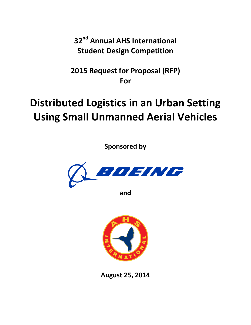**32nd Annual AHS International Student Design Competition**

**2015 Request for Proposal (RFP) For**

# **Distributed Logistics in an Urban Setting Using Small Unmanned Aerial Vehicles**

**Sponsored by**



**and**



**August 25, 2014**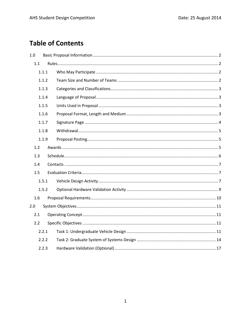# **Table of Contents**

| 1.0   |     |  |  |  |  |  |  |
|-------|-----|--|--|--|--|--|--|
|       | 1.1 |  |  |  |  |  |  |
| 1.1.1 |     |  |  |  |  |  |  |
| 1.1.2 |     |  |  |  |  |  |  |
| 1.1.3 |     |  |  |  |  |  |  |
| 1.1.4 |     |  |  |  |  |  |  |
| 1.1.5 |     |  |  |  |  |  |  |
| 1.1.6 |     |  |  |  |  |  |  |
| 1.1.7 |     |  |  |  |  |  |  |
| 1.1.8 |     |  |  |  |  |  |  |
| 1.1.9 |     |  |  |  |  |  |  |
| 1.2   |     |  |  |  |  |  |  |
| 1.3   |     |  |  |  |  |  |  |
|       | 1.4 |  |  |  |  |  |  |
|       | 1.5 |  |  |  |  |  |  |
| 1.5.1 |     |  |  |  |  |  |  |
| 1.5.2 |     |  |  |  |  |  |  |
| 1.6   |     |  |  |  |  |  |  |
| 2.0   |     |  |  |  |  |  |  |
| 2.1   |     |  |  |  |  |  |  |
| 2.2   |     |  |  |  |  |  |  |
| 2.2.1 |     |  |  |  |  |  |  |
| 2.2.2 |     |  |  |  |  |  |  |
| 2.2.3 |     |  |  |  |  |  |  |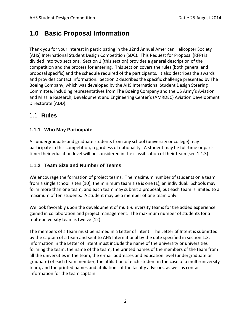# <span id="page-2-0"></span>**1.0 Basic Proposal Information**

Thank you for your interest in participating in the 32nd Annual American Helicopter Society (AHS) International Student Design Competition (SDC). This Request for Proposal (RFP) is divided into two sections. Section 1 (this section) provides a general description of the competition and the process for entering. This section covers the rules (both general and proposal specific) and the schedule required of the participants. It also describes the awards and provides contact information. Section 2 describes the specific challenge presented by The Boeing Company, which was developed by the AHS International Student Design Steering Committee, including representatives from The Boeing Company and the US Army's Aviation and Missile Research, Development and Engineering Center's (AMRDEC) Aviation Development Directorate (ADD).

# <span id="page-2-1"></span>1.1 **Rules**

# <span id="page-2-2"></span>**1.1.1 Who May Participate**

All undergraduate and graduate students from any school (university or college) may participate in this competition, regardless of nationality. A student may be full-time or parttime; their education level will be considered in the classification of their team (see 1.1.3).

# <span id="page-2-3"></span>**1.1.2 Team Size and Number of Teams**

We encourage the formation of project teams. The maximum number of students on a team from a single school is ten (10); the minimum team size is one (1), an individual. Schools may form more than one team, and each team may submit a proposal, but each team is limited to a maximum of ten students. A student may be a member of one team only.

We look favorably upon the development of multi-university teams for the added experience gained in collaboration and project management. The maximum number of students for a multi-university team is twelve (12).

The members of a team must be named in a Letter of Intent. The Letter of Intent is submitted by the captain of a team and sent to AHS International by the date specified in section 1.3. Information in the Letter of Intent must include the name of the university or universities forming the team, the name of the team, the printed names of the members of the team from all the universities in the team, the e-mail addresses and education level (undergraduate or graduate) of each team member, the affiliation of each student in the case of a multi-university team, and the printed names and affiliations of the faculty advisors, as well as contact information for the team captain.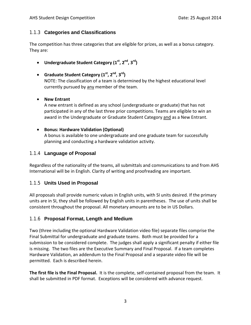#### <span id="page-3-0"></span>1.1.3 **Categories and Classifications**

The competition has three categories that are eligible for prizes, as well as a bonus category. They are:

- **Undergraduate Student Category (1st, 2nd, 3rd)**
- **Graduate Student Category (1st, 2nd, 3rd)** NOTE: The classification of a team is determined by the highest educational level currently pursued by any member of the team.
- **New Entrant**

A new entrant is defined as any school (undergraduate or graduate) that has not participated in any of the last three prior competitions. Teams are eligible to win an award in the Undergraduate or Graduate Student Category and as a New Entrant.

#### • **Bonus: Hardware Validation (Optional)**

A bonus is available to one undergraduate and one graduate team for successfully planning and conducting a hardware validation activity.

#### <span id="page-3-1"></span>1.1.4 **Language of Proposal**

Regardless of the nationality of the teams, all submittals and communications to and from AHS International will be in English. Clarity of writing and proofreading are important.

## <span id="page-3-2"></span>1.1.5 **Units Used in Proposal**

All proposals shall provide numeric values in English units, with SI units desired. If the primary units are in SI, they shall be followed by English units in parentheses. The use of units shall be consistent throughout the proposal. All monetary amounts are to be in US Dollars.

## <span id="page-3-3"></span>1.1.6 **Proposal Format, Length and Medium**

Two (three including the optional Hardware Validation video file) separate files comprise the Final Submittal for undergraduate and graduate teams. Both must be provided for a submission to be considered complete. The judges shall apply a significant penalty if either file is missing. The two files are the Executive Summary and Final Proposal. If a team completes Hardware Validation, an addendum to the Final Proposal and a separate video file will be permitted. Each is described herein.

**The first file is the Final Proposal.** It is the complete, self-contained proposal from the team. It shall be submitted in PDF format. Exceptions will be considered with advance request.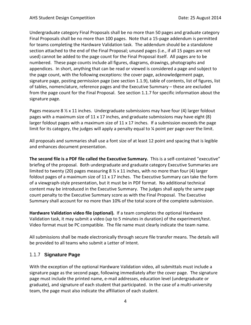Undergraduate category Final Proposals shall be no more than 50 pages and graduate category Final Proposals shall be no more than 100 pages. Note that a 15-page addendum is permitted for teams completing the Hardware Validation task. The addendum should be a standalone section attached to the end of the Final Proposal; unused pages (i.e., if all 15 pages are not used) cannot be added to the page count for the Final Proposal itself. All pages are to be numbered. These page counts include all figures, diagrams, drawings, photographs and appendices. In short, anything that can be read or viewed is considered a page and subject to the page count, with the following exceptions: the cover page, acknowledgement page, signature page, posting permission page (see section 1.1.9), table of contents, list of figures, list of tables, nomenclature, reference pages and the Executive Summary – these are excluded from the page count for the Final Proposal. See section 1.1.7 for specific information about the signature page.

Pages measure 8  $\frac{1}{2}$  x 11 inches. Undergraduate submissions may have four (4) larger foldout pages with a maximum size of  $11 \times 17$  inches, and graduate submissions may have eight (8) larger foldout pages with a maximum size of 11 x 17 inches. If a submission exceeds the page limit for its category, the judges will apply a penalty equal to ¼ point per page over the limit.

All proposals and summaries shall use a font size of at least 12 point and spacing that is legible and enhances document presentation.

**The second file is a PDF file called the Executive Summary.** This is a self-contained "executive" briefing of the proposal. Both undergraduate and graduate category Executive Summaries are limited to twenty (20) pages measuring  $8 \frac{1}{2} \times 11$  inches, with no more than four (4) larger foldout pages of a maximum size of 11 x 17 inches. The Executive Summary can take the form of a viewgraph-style presentation, but it must be in PDF format. No additional technical content may be introduced in the Executive Summary. The judges shall apply the same page count penalty to the Executive Summary score as with the Final Proposal. The Executive Summary shall account for no more than 10% of the total score of the complete submission.

**Hardware Validation video file (optional).** If a team completes the optional Hardware Validation task, it may submit a video (up to 5 minutes in duration) of the experiment/test. Video format must be PC compatible. The file name must clearly indicate the team name.

All submissions shall be made electronically through secure file transfer means. The details will be provided to all teams who submit a Letter of Intent.

#### <span id="page-4-0"></span>1.1.7 **Signature Page**

With the exception of the optional Hardware Validation video, all submittals must include a signature page as the second page, following immediately after the cover page. The signature page must include the printed name, e-mail addresses, education level (undergraduate or graduate), and signature of each student that participated. In the case of a multi-university team, the page must also indicate the affiliation of each student.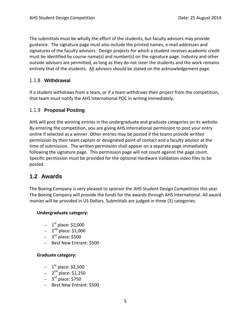The submittals must be wholly the effort of the students, but faculty advisors may provide guidance. The signature page must also include the printed names, e-mail addresses and signatures of the faculty advisors. Design projects for which a student receives academic credit must be identified by course name(s) and number(s) on the signature page. Industry and other outside advisors are permitted, as long as they do not steer the students and the work remains entirely that of the students. All advisors should be stated on the acknowledgement page.

#### <span id="page-5-0"></span>1.1.8 **Withdrawal**

If a student withdraws from a team, or if a team withdraws their project from the competition, that team must notify the AHS International POC in writing immediately.

#### <span id="page-5-1"></span>1.1.9 **Proposal Posting**

AHS will post the winning entries in the undergraduate and graduate categories on its website. By entering the competition, you are giving AHS International permission to post your entry online if selected as a winner. Other entries may be posted if the teams provide written permission by their team captain or designated point of contact and a faculty advisor at the time of submission. The written permission shall appear on a separate page immediately following the signature page. This permission page will not count against the page count. Specific permission must be provided for the optional Hardware Validation video files to be posted.

# <span id="page-5-2"></span>**1.2 Awards**

The Boeing Company is very pleased to sponsor the AHS Student Design Competition this year. The Boeing Company will provide the funds for the awards through AHS International. All award monies will be provided in US Dollars. Submittals are judged in three (3) categories:

#### **Undergraduate category:**

- $-1$ <sup>st</sup> place: \$2,000
- $-2^{nd}$  place: \$1,000
- $-$  3<sup>rd</sup> place: \$500
- Best New Entrant: \$500

#### **Graduate category:**

- $-1$ <sup>st</sup> place: \$2,500
- $2^{nd}$  place: \$1,250
- $-$  3<sup>rd</sup> place: \$750
- Best New Entrant: \$500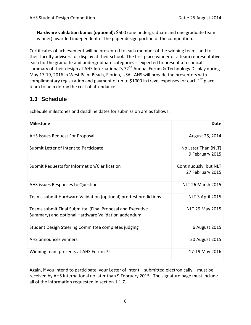**Hardware validation bonus (optional):** \$500 (one undergraduate and one graduate team winner) awarded independent of the paper design portion of the competition.

Certificates of achievement will be presented to each member of the winning teams and to their faculty advisors for display at their school. The first place winner or a team representative each for the graduate and undergraduate categories is expected to present a technical summary of their design at AHS International's 72<sup>nd</sup> Annual Forum & Technology Display during May 17-19, 2016 in West Palm Beach, Florida, USA. AHS will provide the presenters with complimentary registration and payment of up to \$1000 in travel expenses for each  $1<sup>st</sup>$  place team to help defray the cost of attendance.

# <span id="page-6-0"></span>**1.3 Schedule**

Schedule milestones and deadline dates for submission are as follows:

| <b>Milestone</b>                                                                                                 | Date                                      |
|------------------------------------------------------------------------------------------------------------------|-------------------------------------------|
| AHS issues Request For Proposal                                                                                  | August 25, 2014                           |
| Submit Letter of Intent to Participate                                                                           | No Later Than (NLT)<br>9 February 2015    |
| Submit Requests for Information/Clarification                                                                    | Continuously, but NLT<br>27 February 2015 |
| AHS issues Responses to Questions                                                                                | <b>NLT 26 March 2015</b>                  |
| Teams submit Hardware Validation (optional) pre-test predictions                                                 | NLT 3 April 2015                          |
| Teams submit Final Submittal (Final Proposal and Executive<br>Summary) and optional Hardware Validation addendum | NLT 29 May 2015                           |
| Student Design Steering Committee completes judging                                                              | 6 August 2015                             |
| AHS announces winners                                                                                            | 20 August 2015                            |
| Winning team presents at AHS Forum 72                                                                            | 17-19 May 2016                            |

Again, if you intend to participate, your Letter of Intent – submitted electronically – must be received by AHS International no later than 9 February 2015. The signature page must include all of the information requested in section 1.1.7.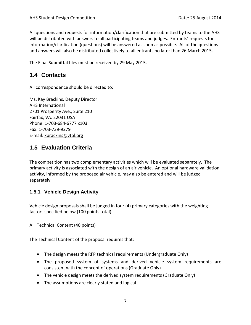All questions and requests for information/clarification that are submitted by teams to the AHS will be distributed with answers to all participating teams and judges. Entrants' requests for information/clarification (questions) will be answered as soon as possible. All of the questions and answers will also be distributed collectively to all entrants no later than 26 March 2015.

The Final Submittal files must be received by 29 May 2015.

# <span id="page-7-0"></span>**1.4 Contacts**

All correspondence should be directed to:

Ms. Kay Brackins, Deputy Director AHS International 2701 Prosperity Ave., Suite 210 Fairfax, VA. 22031 USA Phone: 1-703-684-6777 x103 Fax: 1-703-739-9279 E-mail: [kbrackins@vtol.org](mailto:kbrackins@vtol.org)

# <span id="page-7-1"></span>**1.5 Evaluation Criteria**

The competition has two complementary activities which will be evaluated separately. The primary activity is associated with the design of an air vehicle. An optional hardware validation activity, informed by the proposed air vehicle, may also be entered and will be judged separately.

#### <span id="page-7-2"></span>**1.5.1 Vehicle Design Activity**

Vehicle design proposals shall be judged in four (4) primary categories with the weighting factors specified below (100 points total).

A. Technical Content (40 points)

The Technical Content of the proposal requires that:

- The design meets the RFP technical requirements (Undergraduate Only)
- The proposed system of systems and derived vehicle system requirements are consistent with the concept of operations (Graduate Only)
- The vehicle design meets the derived system requirements (Graduate Only)
- The assumptions are clearly stated and logical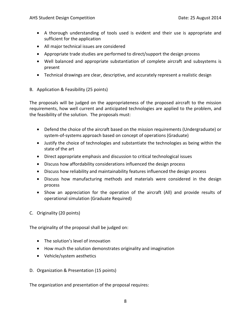- A thorough understanding of tools used is evident and their use is appropriate and sufficient for the application
- All major technical issues are considered
- Appropriate trade studies are performed to direct/support the design process
- Well balanced and appropriate substantiation of complete aircraft and subsystems is present
- Technical drawings are clear, descriptive, and accurately represent a realistic design
- B. Application & Feasibility (25 points)

The proposals will be judged on the appropriateness of the proposed aircraft to the mission requirements, how well current and anticipated technologies are applied to the problem, and the feasibility of the solution. The proposals must:

- Defend the choice of the aircraft based on the mission requirements (Undergraduate) or system-of-systems approach based on concept of operations (Graduate)
- Justify the choice of technologies and substantiate the technologies as being within the state of the art
- Direct appropriate emphasis and discussion to critical technological issues
- Discuss how affordability considerations influenced the design process
- Discuss how reliability and maintainability features influenced the design process
- Discuss how manufacturing methods and materials were considered in the design process
- Show an appreciation for the operation of the aircraft (All) and provide results of operational simulation (Graduate Required)
- C. Originality (20 points)

The originality of the proposal shall be judged on:

- The solution's level of innovation
- How much the solution demonstrates originality and imagination
- Vehicle/system aesthetics
- D. Organization & Presentation (15 points)

The organization and presentation of the proposal requires: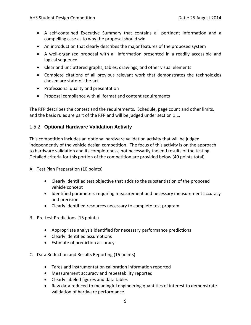- A self-contained Executive Summary that contains all pertinent information and a compelling case as to why the proposal should win
- An introduction that clearly describes the major features of the proposed system
- A well-organized proposal with all information presented in a readily accessible and logical sequence
- Clear and uncluttered graphs, tables, drawings, and other visual elements
- Complete citations of all previous relevant work that demonstrates the technologies chosen are state-of-the-art
- Professional quality and presentation
- Proposal compliance with all format and content requirements

The RFP describes the contest and the requirements. Schedule, page count and other limits, and the basic rules are part of the RFP and will be judged under section 1.1.

#### <span id="page-9-0"></span>1.5.2 **Optional Hardware Validation Activity**

This competition includes an optional hardware validation activity that will be judged independently of the vehicle design competition. The focus of this activity is on the approach to hardware validation and its completeness, not necessarily the end results of the testing. Detailed criteria for this portion of the competition are provided below (40 points total).

- A. Test Plan Preparation (10 points)
	- Clearly identified test objective that adds to the substantiation of the proposed vehicle concept
	- Identified parameters requiring measurement and necessary measurement accuracy and precision
	- Clearly identified resources necessary to complete test program
- B. Pre-test Predictions (15 points)
	- Appropriate analysis identified for necessary performance predictions
	- Clearly identified assumptions
	- Estimate of prediction accuracy
- C. Data Reduction and Results Reporting (15 points)
	- Tares and instrumentation calibration information reported
	- Measurement accuracy and repeatability reported
	- Clearly labeled figures and data tables
	- Raw data reduced to meaningful engineering quantities of interest to demonstrate validation of hardware performance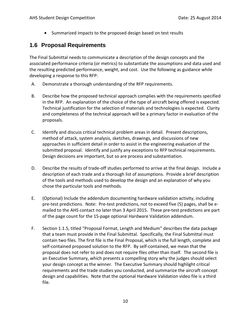• Summarized impacts to the proposed design based on test results

# <span id="page-10-0"></span>**1.6 Proposal Requirements**

The Final Submittal needs to communicate a description of the design concepts and the associated performance criteria (or metrics) to substantiate the assumptions and data used and the resulting predicted performance, weight, and cost. Use the following as guidance while developing a response to this RFP:

- A. Demonstrate a thorough understanding of the RFP requirements.
- B. Describe how the proposed technical approach complies with the requirements specified in the RFP. An explanation of the choice of the type of aircraft being offered is expected. Technical justification for the selection of materials and technologies is expected. Clarity and completeness of the technical approach will be a primary factor in evaluation of the proposals.
- C. Identify and discuss critical technical problem areas in detail. Present descriptions, method of attack, system analysis, sketches, drawings, and discussions of new approaches in sufficient detail in order to assist in the engineering evaluation of the submitted proposal. Identify and justify any exceptions to RFP technical requirements. Design decisions are important, but so are process and substantiation.
- D. Describe the results of trade-off studies performed to arrive at the final design. Include a description of each trade and a thorough list of assumptions. Provide a brief description of the tools and methods used to develop the design and an explanation of why you chose the particular tools and methods.
- E. (Optional) Include the addendum documenting hardware validation activity, including pre-test predictions. Note: Pre-test predictions, not to exceed five (5) pages, shall be emailed to the AHS contact no later than 3 April 2015. These pre-test predictions are part of the page count for the 15-page optional Hardware Validation addendum.
- F. Section 1.1.5, titled "Proposal Format, Length and Medium" describes the data package that a team must provide in the Final Submittal. Specifically, the Final Submittal must contain two files. The first file is the Final Proposal, which is the full length, complete and self-contained proposed solution to the RFP. By self-contained, we mean that the proposal does not refer to and does not require files other than itself. The second file is an Executive Summary, which presents a compelling story why the judges should select your design concept as the winner. The Executive Summary should highlight critical requirements and the trade studies you conducted, and summarize the aircraft concept design and capabilities. Note that the optional Hardware Validation video file is a third file.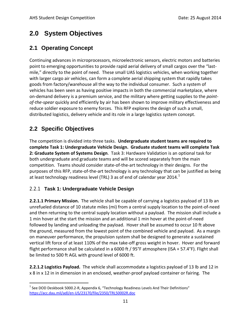# <span id="page-11-0"></span>**2.0 System Objectives**

# <span id="page-11-1"></span>**2.1 Operating Concept**

Continuing advances in microprocessors, microelectronic sensors, electric motors and batteries point to emerging opportunities to provide rapid aerial delivery of small cargos over the "lastmile," directly to the point of need. These small UAS logistics vehicles, when working together with larger cargo air vehicles, can form a complete aerial shipping system that rapidly takes goods from factory/warehouse all the way to the individual consumer. Such a system of vehicles has been seen as having positive impacts in both the commercial marketplace, where on-demand delivery is a premium service, and the military where getting supplies to the *pointof-the-spear* quickly and efficiently by air has been shown to improve military effectiveness and reduce soldier exposure to enemy forces. This RFP explores the design of such a small, distributed logistics, delivery vehicle and its role in a large logistics system concept.

# <span id="page-11-2"></span>**2.2 Specific Objectives**

The competition is divided into three tasks. **Undergraduate student teams are required to complete Task 1: Undergraduate Vehicle Design. Graduate student teams will complete Task 2: Graduate System of Systems Design**. Task 3: Hardware Validation is an optional task for both undergraduate and graduate teams and will be scored separately from the main competition. Teams should consider state-of-the-art technology in their designs. For the purposes of this RFP, state-of-the-art technology is any technology that can be justified as being at least technology readiness level (TRL) 3 as of end of calendar year 20[1](#page-11-4)4. $^{\rm 1}$ 

## <span id="page-11-3"></span>2.2.1 **Task 1: Undergraduate Vehicle Design**

**2.2.1.1 Primary Mission.** The vehicle shall be capable of carrying a logistics payload of 13 lb an unrefueled distance of 10 statute miles (mi) from a central supply location to the point-of-need and then returning to the central supply location without a payload. The mission shall include a 1 min hover at the start the mission and an additional 1 min hover at the point-of-need followed by landing and unloading the payload. Hover shall be assumed to occur 10 ft above the ground, measured from the lowest point of the combined vehicle and payload. As a margin on maneuver performance, the propulsion system shall be designed to generate a sustained vertical lift force of at least 110% of the max take-off gross weight in hover. Hover and forward flight performance shall be calculated in a 6000 ft / 95°F atmosphere (ISA + 57.4°F). Flight shall be limited to 500 ft AGL with ground level of 6000 ft.

**2.2.1.2 Logistics Payload.** The vehicle shall accommodate a logistics payload of 13 lb and 12 in x 8 in x 12 in in dimension in an enclosed, weather-proof payload container or fairing. The

<span id="page-11-4"></span> $1$  See DOD Deskbook 5000.2-R, Appendix 6, "Technology Readiness Levels And Their Definitions" <https://acc.dau.mil/adl/en-US/23170/file/2350/TRL50002R.doc>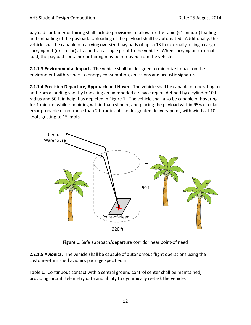payload container or fairing shall include provisions to allow for the rapid (<1 minute) loading and unloading of the payload. Unloading of the payload shall be automated. Additionally, the vehicle shall be capable of carrying oversized payloads of up to 13 lb externally, using a cargo carrying net (or similar) attached via a single point to the vehicle. When carrying an external load, the payload container or fairing may be removed from the vehicle.

**2.2.1.3 Environmental Impact.** The vehicle shall be designed to minimize impact on the environment with respect to energy consumption, emissions and acoustic signature.

**2.2.1.4 Precision Departure, Approach and Hover.** The vehicle shall be capable of operating to and from a landing spot by transiting an unimpeded airspace region defined by a cylinder 10 ft radius and 50 ft in height as depicted in [Figure 1.](#page-12-0) The vehicle shall also be capable of hovering for 1 minute, while remaining within that cylinder, and placing the payload within 95% circular error probable of not more than 2 ft radius of the designated delivery point, with winds at 10 knots gusting to 15 knots.



**Figure 1**: Safe approach/departure corridor near point-of need

<span id="page-12-0"></span>**2.2.1.5 Avionics.** The vehicle shall be capable of autonomous flight operations using the customer-furnished avionics package specified in

<span id="page-12-1"></span>[Table](#page-12-1) **1**. Continuous contact with a central ground control center shall be maintained, providing aircraft telemetry data and ability to dynamically re-task the vehicle.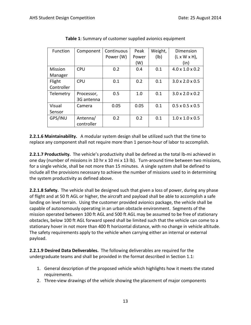| <b>Function</b> | Component  | Continuous | Peak  | Weight, | Dimension                   |
|-----------------|------------|------------|-------|---------|-----------------------------|
|                 |            | Power (W)  | Power | (Ib)    | $(L \times W \times H)$ ,   |
|                 |            |            | (W)   |         | (in)                        |
| <b>Mission</b>  | <b>CPU</b> | 0.2        | 0.4   | 0.1     | $4.0 \times 1.0 \times 0.2$ |
| Manager         |            |            |       |         |                             |
| Flight          | <b>CPU</b> | 0.1        | 0.2   | 0.1     | $3.0 \times 2.0 \times 0.5$ |
| Controller      |            |            |       |         |                             |
| Telemetry       | Processor, | 0.5        | 1.0   | 0.1     | $3.0 \times 2.0 \times 0.2$ |
|                 | 3G antenna |            |       |         |                             |
| Visual          | Camera     | 0.05       | 0.05  | 0.1     | $0.5 \times 0.5 \times 0.5$ |
| Sensor          |            |            |       |         |                             |
| GPS/INU         | Antenna/   | 0.2        | 0.2   | 0.1     | $1.0 \times 1.0 \times 0.5$ |
|                 | controller |            |       |         |                             |

**Table 1**: Summary of customer supplied avionics equipment

**2.2.1.6 Maintainability.** A modular system design shall be utilized such that the time to replace any component shall not require more than 1 person-hour of labor to accomplish.

**2.2.1.7 Productivity.** The vehicle's productivity shall be defined as the total lb-mi achieved in one day (number of missions in 10 hr x 10 mi x 13 lb). Turn-around time between two missions, for a single vehicle, shall be not more than 15 minutes. A single system shall be defined to include all the provisions necessary to achieve the number of missions used to in determining the system productivity as defined above.

**2.2.1.8 Safety.** The vehicle shall be designed such that given a loss of power, during any phase of flight and at 50 ft AGL or higher, the aircraft and payload shall be able to accomplish a safe landing on level terrain. Using the customer provided avionics package, the vehicle shall be capable of autonomously operating in an urban obstacle environment. Segments of the mission operated between 100 ft AGL and 500 ft AGL may be assumed to be free of stationary obstacles, below 100 ft AGL forward speed shall be limited such that the vehicle can come to a stationary hover in not more than 400 ft horizontal distance, with no change in vehicle altitude. The safety requirements apply to the vehicle when carrying either an internal or external payload.

**2.2.1.9 Desired Data Deliverables.** The following deliverables are required for the undergraduate teams and shall be provided in the format described in Section 1.1:

- 1. General description of the proposed vehicle which highlights how it meets the stated requirements.
- 2. Three-view drawings of the vehicle showing the placement of major components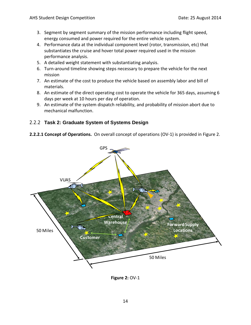- 3. Segment by segment summary of the mission performance including flight speed, energy consumed and power required for the entire vehicle system.
- 4. Performance data at the individual component level (rotor, transmission, etc) that substantiates the cruise and hover total power required used in the mission performance analysis.
- 5. A detailed weight statement with substantiating analysis.
- 6. Turn-around timeline showing steps necessary to prepare the vehicle for the next mission
- 7. An estimate of the cost to produce the vehicle based on assembly labor and bill of materials.
- 8. An estimate of the direct operating cost to operate the vehicle for 365 days, assuming 6 days per week at 10 hours per day of operation.
- 9. An estimate of the system dispatch reliability, and probability of mission abort due to mechanical malfunction.

#### <span id="page-14-0"></span>2.2.2 **Task 2: Graduate System of Systems Design**

**2.2.2.1 Concept of Operations.** On overall concept of operations (OV-1) is provided in Figure 2.



**Figure 2:** OV-1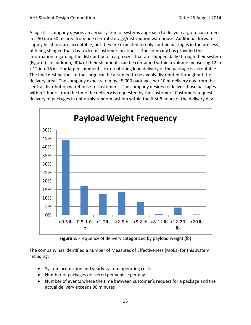A logistics company desires an aerial system of systems approach to deliver cargo to customers in a 50 mi x 50 mi area from one central storage/distribution warehouse. Additional forward supply locations are acceptable, but they are expected to only contain packages in the process of being shipped that day to/from customer locations. The company has provided the information regarding the distribution of cargo sizes that are shipped daily through their system [\(Figure \)](#page-15-0). In addition, 90% of their shipments can be contained within a volume measuring 12 in x 12 in x 16 in. For larger shipments, external slung load delivery of the package is acceptable. The final destinations of the cargo can be assumed to be evenly distributed throughout the delivery area. The company expects to move 5,000 packages per 10 hr delivery day from the central distribution warehouse to customers. The company desires to deliver those packages within 2 hours from the time the delivery is requested by the customer. Customers request delivery of packages in uniformly random fashion within the first 8 hours of the delivery day.



**Figure 3**: Frequency of delivery categorized by payload weight (lb)

<span id="page-15-0"></span>The company has identified a number of Measures of Effectiveness (MoEs) for this system including:

- System acquisition and yearly system operating costs
- Number of packages delivered per vehicle per day
- Number of events where the time between customer's request for a package and the actual delivery exceeds 90 minutes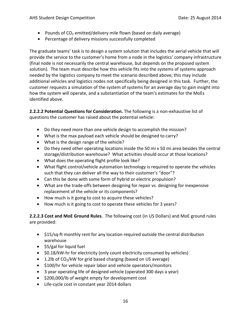- Pounds of  $CO<sub>2</sub>$  emitted/delivery mile flown (based on daily average)
- Percentage of delivery missions successfully completed

The graduate teams' task is to design a system solution that includes the aerial vehicle that will provide the service to the customer's home from a node in the logistics' company infrastructure (final node is not necessarily the central warehouse, but depends on the proposed system solution). The team must describe how this vehicle fits into the systems of systems approach needed by the logistics company to meet the scenario described above; this may include additional vehicles and logistics nodes not specifically being designed in this task. Further, the customer requests a simulation of the system of systems for an average day to gain insight into how the system will operate, and a substantiation of the team's estimates for the MoEs identified above.

**2.2.2.2 Potential Questions for Consideration.** The following is a non-exhaustive list of questions the customer has raised about the potential vehicle:

- Do they need more than one vehicle design to accomplish the mission?
- What is the max payload each vehicle should be designed to carry?
- What is the design range of the vehicle?
- Do they need other operating locations inside the 50 mi x 50 mi area besides the central storage/distribution warehouse? What activities should occur at those locations?
- What does the operating flight profile look like?
- What flight control/vehicle automation technology is required to operate the vehicles such that they can deliver all the way to their customer's "door"?
- Can this be done with some form of hybrid or electric propulsion?
- What are the trade-offs between designing for repair vs. designing for inexpensive replacement of the vehicle or its components?
- How much is it going to cost to acquire these vehicles?
- How much is it going to cost to operate these vehicles for 3 years?

**2.2.2.3 Cost and MoE Ground Rules.** The following cost (in US Dollars) and MoE ground rules are provided:

- \$15/sq-ft monthly rent for any location required outside the central distribution warehouse
- \$5/gal for liquid fuel
- \$0.18/kW-hr for electricity (only count electricity consumed by vehicles)
- $\bullet$  1.2lb of CO<sub>2</sub>/kW for grid based charging (based on US average)
- \$100/hr for vehicle repair labor and vehicle operators/monitors
- 3 year operating life of designed vehicle (operated 300 days a year)
- \$200,000/lb of weight empty for development cost
- Life-cycle cost in constant year 2014 dollars